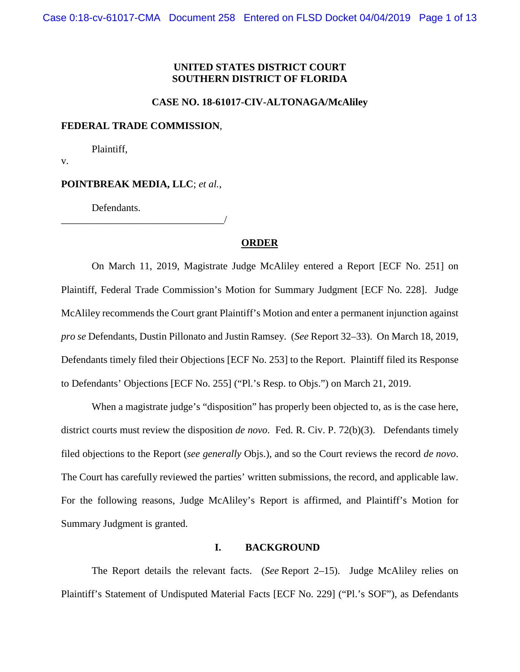### **UNITED STATES DISTRICT COURT SOUTHERN DISTRICT OF FLORIDA**

#### **CASE NO. 18-61017-CIV-ALTONAGA/McAliley**

#### **FEDERAL TRADE COMMISSION**,

Plaintiff,

v.

#### **POINTBREAK MEDIA, LLC**; *et al.*,

\_\_\_\_\_\_\_\_\_\_\_\_\_\_\_\_\_\_\_\_\_\_\_\_\_\_\_\_\_\_\_\_/

Defendants.

### **ORDER**

On March 11, 2019, Magistrate Judge McAliley entered a Report [ECF No. 251] on Plaintiff, Federal Trade Commission's Motion for Summary Judgment [ECF No. 228]. Judge McAliley recommends the Court grant Plaintiff's Motion and enter a permanent injunction against *pro se* Defendants, Dustin Pillonato and Justin Ramsey. (*See* Report 32–33). On March 18, 2019, Defendants timely filed their Objections [ECF No. 253] to the Report. Plaintiff filed its Response to Defendants' Objections [ECF No. 255] ("Pl.'s Resp. to Objs.") on March 21, 2019.

When a magistrate judge's "disposition" has properly been objected to, as is the case here, district courts must review the disposition *de novo*. Fed. R. Civ. P. 72(b)(3). Defendants timely filed objections to the Report (*see generally* Objs.), and so the Court reviews the record *de novo*. The Court has carefully reviewed the parties' written submissions, the record, and applicable law. For the following reasons, Judge McAliley's Report is affirmed, and Plaintiff's Motion for Summary Judgment is granted.

### **I. BACKGROUND**

The Report details the relevant facts. (*See* Report 2–15). Judge McAliley relies on Plaintiff's Statement of Undisputed Material Facts [ECF No. 229] ("Pl.'s SOF"), as Defendants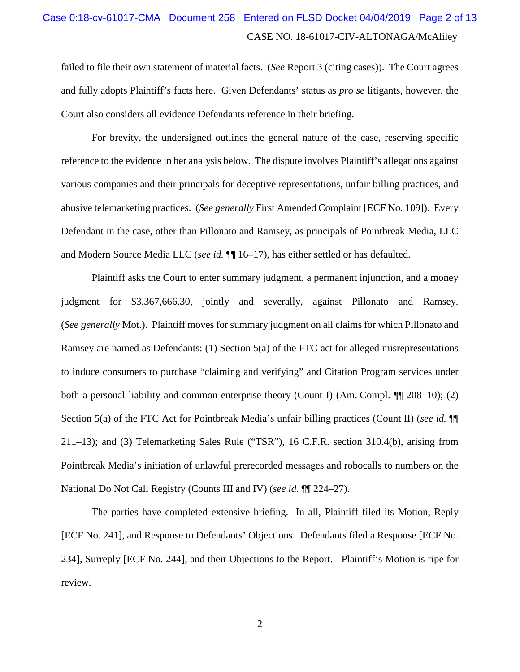## CASE NO. 18-61017-CIV-ALTONAGA/McAliley Case 0:18-cv-61017-CMA Document 258 Entered on FLSD Docket 04/04/2019 Page 2 of 13

failed to file their own statement of material facts. (*See* Report 3 (citing cases)). The Court agrees and fully adopts Plaintiff's facts here. Given Defendants' status as *pro se* litigants, however, the Court also considers all evidence Defendants reference in their briefing.

For brevity, the undersigned outlines the general nature of the case, reserving specific reference to the evidence in her analysis below. The dispute involves Plaintiff's allegations against various companies and their principals for deceptive representations, unfair billing practices, and abusive telemarketing practices. (*See generally* First Amended Complaint [ECF No. 109]). Every Defendant in the case, other than Pillonato and Ramsey, as principals of Pointbreak Media, LLC and Modern Source Media LLC (*see id.* ¶¶ 16–17), has either settled or has defaulted.

Plaintiff asks the Court to enter summary judgment, a permanent injunction, and a money judgment for \$3,367,666.30, jointly and severally, against Pillonato and Ramsey. (*See generally* Mot.). Plaintiff moves for summary judgment on all claims for which Pillonato and Ramsey are named as Defendants: (1) Section 5(a) of the FTC act for alleged misrepresentations to induce consumers to purchase "claiming and verifying" and Citation Program services under both a personal liability and common enterprise theory (Count I) (Am. Compl. ¶¶ 208–10); (2) Section 5(a) of the FTC Act for Pointbreak Media's unfair billing practices (Count II) (*see id.* ¶¶ 211–13); and (3) Telemarketing Sales Rule ("TSR"), 16 C.F.R. section 310.4(b), arising from Pointbreak Media's initiation of unlawful prerecorded messages and robocalls to numbers on the National Do Not Call Registry (Counts III and IV) (*see id.* ¶¶ 224–27).

The parties have completed extensive briefing. In all, Plaintiff filed its Motion, Reply [ECF No. 241], and Response to Defendants' Objections. Defendants filed a Response [ECF No. 234], Surreply [ECF No. 244], and their Objections to the Report. Plaintiff's Motion is ripe for review.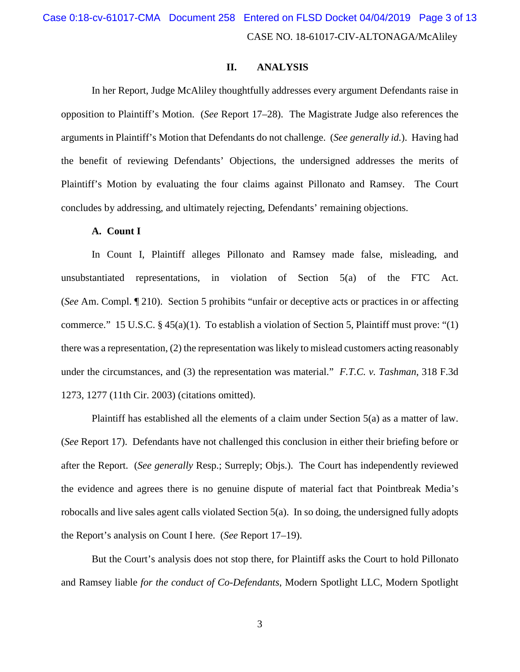CASE NO. 18-61017-CIV-ALTONAGA/McAliley Case 0:18-cv-61017-CMA Document 258 Entered on FLSD Docket 04/04/2019 Page 3 of 13

### **II. ANALYSIS**

In her Report, Judge McAliley thoughtfully addresses every argument Defendants raise in opposition to Plaintiff's Motion. (*See* Report 17–28). The Magistrate Judge also references the arguments in Plaintiff's Motion that Defendants do not challenge. (*See generally id.*). Having had the benefit of reviewing Defendants' Objections, the undersigned addresses the merits of Plaintiff's Motion by evaluating the four claims against Pillonato and Ramsey. The Court concludes by addressing, and ultimately rejecting, Defendants' remaining objections.

#### **A. Count I**

In Count I, Plaintiff alleges Pillonato and Ramsey made false, misleading, and unsubstantiated representations, in violation of Section 5(a) of the FTC Act. (*See* Am. Compl. ¶ 210). Section 5 prohibits "unfair or deceptive acts or practices in or affecting commerce." 15 U.S.C. § 45(a)(1). To establish a violation of Section 5, Plaintiff must prove: "(1) there was a representation, (2) the representation was likely to mislead customers acting reasonably under the circumstances, and (3) the representation was material." *F.T.C. v. Tashman*, 318 F.3d 1273, 1277 (11th Cir. 2003) (citations omitted).

Plaintiff has established all the elements of a claim under Section 5(a) as a matter of law. (*See* Report 17). Defendants have not challenged this conclusion in either their briefing before or after the Report. (*See generally* Resp.; Surreply; Objs.). The Court has independently reviewed the evidence and agrees there is no genuine dispute of material fact that Pointbreak Media's robocalls and live sales agent calls violated Section 5(a). In so doing, the undersigned fully adopts the Report's analysis on Count I here. (*See* Report 17–19).

But the Court's analysis does not stop there, for Plaintiff asks the Court to hold Pillonato and Ramsey liable *for the conduct of Co-Defendants*, Modern Spotlight LLC, Modern Spotlight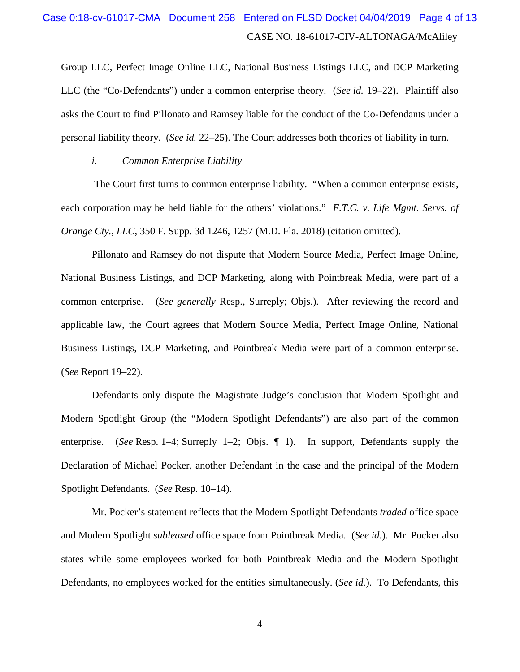# CASE NO. 18-61017-CIV-ALTONAGA/McAliley Case 0:18-cv-61017-CMA Document 258 Entered on FLSD Docket 04/04/2019 Page 4 of 13

Group LLC, Perfect Image Online LLC, National Business Listings LLC, and DCP Marketing LLC (the "Co-Defendants") under a common enterprise theory. (*See id.* 19–22). Plaintiff also asks the Court to find Pillonato and Ramsey liable for the conduct of the Co-Defendants under a personal liability theory. (*See id.* 22–25). The Court addresses both theories of liability in turn.

*i. Common Enterprise Liability*

The Court first turns to common enterprise liability. "When a common enterprise exists, each corporation may be held liable for the others' violations." *F.T.C. v. Life Mgmt. Servs. of Orange Cty., LLC*, 350 F. Supp. 3d 1246, 1257 (M.D. Fla. 2018) (citation omitted).

Pillonato and Ramsey do not dispute that Modern Source Media, Perfect Image Online, National Business Listings, and DCP Marketing, along with Pointbreak Media, were part of a common enterprise. (*See generally* Resp., Surreply; Objs.). After reviewing the record and applicable law, the Court agrees that Modern Source Media, Perfect Image Online, National Business Listings, DCP Marketing, and Pointbreak Media were part of a common enterprise. (*See* Report 19–22).

Defendants only dispute the Magistrate Judge's conclusion that Modern Spotlight and Modern Spotlight Group (the "Modern Spotlight Defendants") are also part of the common enterprise. (*See* Resp. 1–4; Surreply 1–2; Objs. ¶ 1). In support, Defendants supply the Declaration of Michael Pocker, another Defendant in the case and the principal of the Modern Spotlight Defendants. (*See* Resp. 10–14).

Mr. Pocker's statement reflects that the Modern Spotlight Defendants *traded* office space and Modern Spotlight *subleased* office space from Pointbreak Media. (*See id.*). Mr. Pocker also states while some employees worked for both Pointbreak Media and the Modern Spotlight Defendants, no employees worked for the entities simultaneously. (*See id.*). To Defendants, this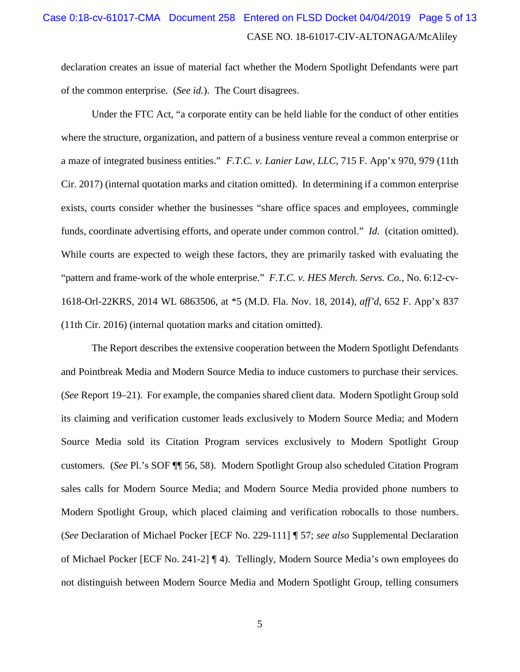## CASE NO. 18-61017-CIV-ALTONAGA/McAliley Case 0:18-cv-61017-CMA Document 258 Entered on FLSD Docket 04/04/2019 Page 5 of 13

declaration creates an issue of material fact whether the Modern Spotlight Defendants were part of the common enterprise. (*See id.*). The Court disagrees.

Under the FTC Act, "a corporate entity can be held liable for the conduct of other entities where the structure, organization, and pattern of a business venture reveal a common enterprise or a maze of integrated business entities." *F.T.C. v. Lanier Law, LLC*, 715 F. App'x 970, 979 (11th Cir. 2017) (internal quotation marks and citation omitted). In determining if a common enterprise exists, courts consider whether the businesses "share office spaces and employees, commingle funds, coordinate advertising efforts, and operate under common control." *Id.* (citation omitted). While courts are expected to weigh these factors, they are primarily tasked with evaluating the "pattern and frame-work of the whole enterprise." *F.T.C. v. HES Merch. Servs. Co.*, No. 6:12-cv-1618-Orl-22KRS, 2014 WL 6863506, at \*5 (M.D. Fla. Nov. 18, 2014), *aff'd*, 652 F. App'x 837 (11th Cir. 2016) (internal quotation marks and citation omitted).

The Report describes the extensive cooperation between the Modern Spotlight Defendants and Pointbreak Media and Modern Source Media to induce customers to purchase their services. (*See* Report 19–21). For example, the companies shared client data. Modern Spotlight Group sold its claiming and verification customer leads exclusively to Modern Source Media; and Modern Source Media sold its Citation Program services exclusively to Modern Spotlight Group customers. (*See* Pl.'s SOF ¶¶ 56, 58). Modern Spotlight Group also scheduled Citation Program sales calls for Modern Source Media; and Modern Source Media provided phone numbers to Modern Spotlight Group, which placed claiming and verification robocalls to those numbers. (*See* Declaration of Michael Pocker [ECF No. 229-111] ¶ 57; *see also* Supplemental Declaration of Michael Pocker [ECF No. 241-2] ¶ 4). Tellingly, Modern Source Media's own employees do not distinguish between Modern Source Media and Modern Spotlight Group, telling consumers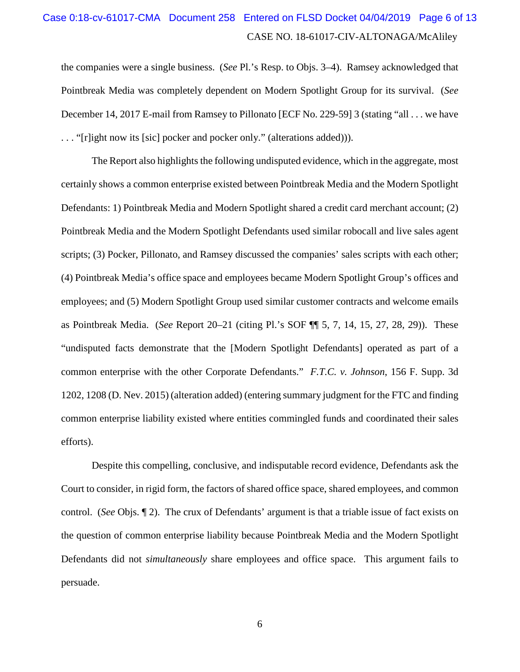## CASE NO. 18-61017-CIV-ALTONAGA/McAliley Case 0:18-cv-61017-CMA Document 258 Entered on FLSD Docket 04/04/2019 Page 6 of 13

the companies were a single business. (*See* Pl.'s Resp. to Objs. 3–4). Ramsey acknowledged that Pointbreak Media was completely dependent on Modern Spotlight Group for its survival. (*See* December 14, 2017 E-mail from Ramsey to Pillonato [ECF No. 229-59] 3 (stating "all . . . we have . . . "[r]ight now its [sic] pocker and pocker only." (alterations added))).

The Report also highlights the following undisputed evidence, which in the aggregate, most certainly shows a common enterprise existed between Pointbreak Media and the Modern Spotlight Defendants: 1) Pointbreak Media and Modern Spotlight shared a credit card merchant account; (2) Pointbreak Media and the Modern Spotlight Defendants used similar robocall and live sales agent scripts; (3) Pocker, Pillonato, and Ramsey discussed the companies' sales scripts with each other; (4) Pointbreak Media's office space and employees became Modern Spotlight Group's offices and employees; and (5) Modern Spotlight Group used similar customer contracts and welcome emails as Pointbreak Media. (*See* Report 20–21 (citing Pl.'s SOF ¶¶ 5, 7, 14, 15, 27, 28, 29)). These "undisputed facts demonstrate that the [Modern Spotlight Defendants] operated as part of a common enterprise with the other Corporate Defendants." *F.T.C. v. Johnson*, 156 F. Supp. 3d 1202, 1208 (D. Nev. 2015) (alteration added) (entering summary judgment for the FTC and finding common enterprise liability existed where entities commingled funds and coordinated their sales efforts).

Despite this compelling, conclusive, and indisputable record evidence, Defendants ask the Court to consider, in rigid form, the factors of shared office space, shared employees, and common control. (*See* Objs. ¶ 2). The crux of Defendants' argument is that a triable issue of fact exists on the question of common enterprise liability because Pointbreak Media and the Modern Spotlight Defendants did not *simultaneously* share employees and office space. This argument fails to persuade.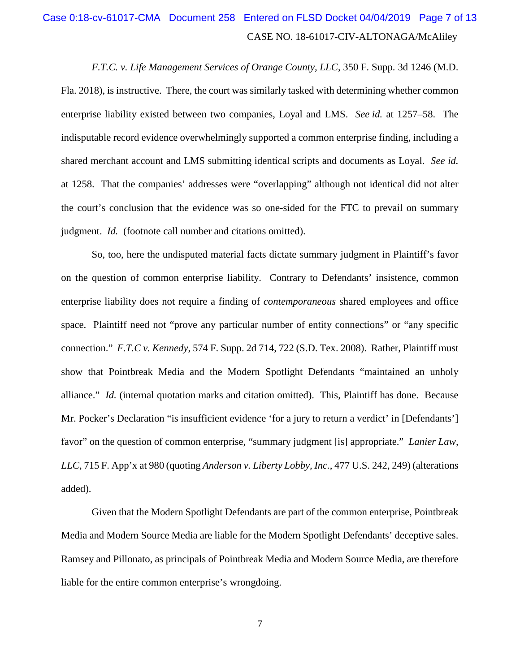# CASE NO. 18-61017-CIV-ALTONAGA/McAliley Case 0:18-cv-61017-CMA Document 258 Entered on FLSD Docket 04/04/2019 Page 7 of 13

*F.T.C. v. Life Management Services of Orange County, LLC*, 350 F. Supp. 3d 1246 (M.D. Fla. 2018), is instructive. There, the court was similarly tasked with determining whether common enterprise liability existed between two companies, Loyal and LMS. *See id.* at 1257–58. The indisputable record evidence overwhelmingly supported a common enterprise finding, including a shared merchant account and LMS submitting identical scripts and documents as Loyal. *See id.*  at 1258. That the companies' addresses were "overlapping" although not identical did not alter the court's conclusion that the evidence was so one-sided for the FTC to prevail on summary judgment. *Id.* (footnote call number and citations omitted).

So, too, here the undisputed material facts dictate summary judgment in Plaintiff's favor on the question of common enterprise liability. Contrary to Defendants' insistence, common enterprise liability does not require a finding of *contemporaneous* shared employees and office space. Plaintiff need not "prove any particular number of entity connections" or "any specific connection." *F.T.C v. Kennedy*, 574 F. Supp. 2d 714, 722 (S.D. Tex. 2008). Rather, Plaintiff must show that Pointbreak Media and the Modern Spotlight Defendants "maintained an unholy alliance." *Id.* (internal quotation marks and citation omitted). This, Plaintiff has done. Because Mr. Pocker's Declaration "is insufficient evidence 'for a jury to return a verdict' in [Defendants'] favor" on the question of common enterprise, "summary judgment [is] appropriate." *Lanier Law, LLC*, 715 F. App'x at 980 (quoting *Anderson v. Liberty Lobby, Inc.*, 477 U.S. 242, 249) (alterations added).

Given that the Modern Spotlight Defendants are part of the common enterprise, Pointbreak Media and Modern Source Media are liable for the Modern Spotlight Defendants' deceptive sales. Ramsey and Pillonato, as principals of Pointbreak Media and Modern Source Media, are therefore liable for the entire common enterprise's wrongdoing.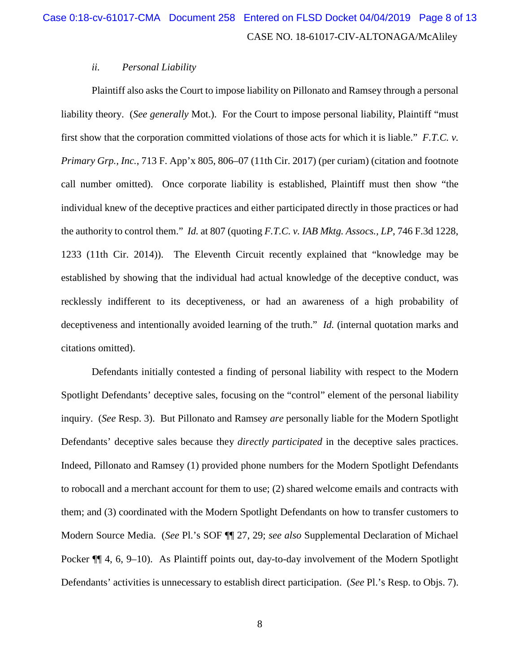#### *ii. Personal Liability*

Plaintiff also asks the Court to impose liability on Pillonato and Ramsey through a personal liability theory. (*See generally* Mot.). For the Court to impose personal liability, Plaintiff "must first show that the corporation committed violations of those acts for which it is liable." *F.T.C. v. Primary Grp., Inc.,* 713 F. App'x 805, 806–07 (11th Cir. 2017) (per curiam) (citation and footnote call number omitted). Once corporate liability is established, Plaintiff must then show "the individual knew of the deceptive practices and either participated directly in those practices or had the authority to control them." *Id.* at 807 (quoting *F.T.C. v. IAB Mktg. Assocs., LP*, 746 F.3d 1228, 1233 (11th Cir. 2014)). The Eleventh Circuit recently explained that "knowledge may be established by showing that the individual had actual knowledge of the deceptive conduct, was recklessly indifferent to its deceptiveness, or had an awareness of a high probability of deceptiveness and intentionally avoided learning of the truth." *Id.* (internal quotation marks and citations omitted).

Defendants initially contested a finding of personal liability with respect to the Modern Spotlight Defendants' deceptive sales, focusing on the "control" element of the personal liability inquiry. (*See* Resp. 3). But Pillonato and Ramsey *are* personally liable for the Modern Spotlight Defendants' deceptive sales because they *directly participated* in the deceptive sales practices. Indeed, Pillonato and Ramsey (1) provided phone numbers for the Modern Spotlight Defendants to robocall and a merchant account for them to use; (2) shared welcome emails and contracts with them; and (3) coordinated with the Modern Spotlight Defendants on how to transfer customers to Modern Source Media. (*See* Pl.'s SOF ¶¶ 27, 29; *see also* Supplemental Declaration of Michael Pocker ¶ 4, 6, 9–10). As Plaintiff points out, day-to-day involvement of the Modern Spotlight Defendants' activities is unnecessary to establish direct participation. (*See* Pl.'s Resp. to Objs. 7).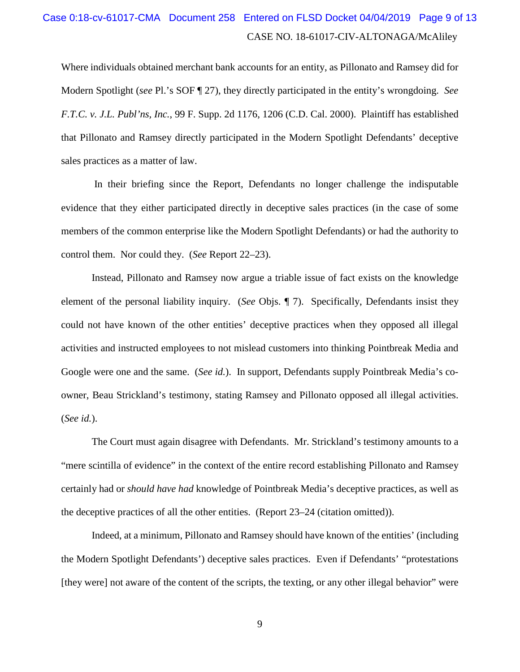# CASE NO. 18-61017-CIV-ALTONAGA/McAliley Case 0:18-cv-61017-CMA Document 258 Entered on FLSD Docket 04/04/2019 Page 9 of 13

Where individuals obtained merchant bank accounts for an entity, as Pillonato and Ramsey did for Modern Spotlight (*see* Pl.'s SOF ¶ 27), they directly participated in the entity's wrongdoing. *See F.T.C. v. J.L. Publ'ns, Inc.*, 99 F. Supp. 2d 1176, 1206 (C.D. Cal. 2000). Plaintiff has established that Pillonato and Ramsey directly participated in the Modern Spotlight Defendants' deceptive sales practices as a matter of law.

In their briefing since the Report, Defendants no longer challenge the indisputable evidence that they either participated directly in deceptive sales practices (in the case of some members of the common enterprise like the Modern Spotlight Defendants) or had the authority to control them. Nor could they. (*See* Report 22–23).

Instead, Pillonato and Ramsey now argue a triable issue of fact exists on the knowledge element of the personal liability inquiry. (*See* Objs. ¶ 7). Specifically, Defendants insist they could not have known of the other entities' deceptive practices when they opposed all illegal activities and instructed employees to not mislead customers into thinking Pointbreak Media and Google were one and the same. (*See id.*). In support, Defendants supply Pointbreak Media's coowner, Beau Strickland's testimony, stating Ramsey and Pillonato opposed all illegal activities. (*See id.*).

The Court must again disagree with Defendants. Mr. Strickland's testimony amounts to a "mere scintilla of evidence" in the context of the entire record establishing Pillonato and Ramsey certainly had or *should have had* knowledge of Pointbreak Media's deceptive practices, as well as the deceptive practices of all the other entities. (Report 23–24 (citation omitted)).

Indeed, at a minimum, Pillonato and Ramsey should have known of the entities' (including the Modern Spotlight Defendants') deceptive sales practices. Even if Defendants' "protestations [they were] not aware of the content of the scripts, the texting, or any other illegal behavior" were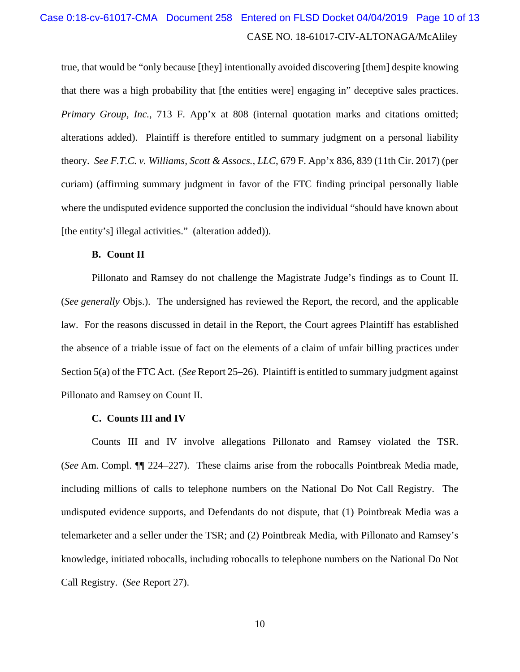## CASE NO. 18-61017-CIV-ALTONAGA/McAliley Case 0:18-cv-61017-CMA Document 258 Entered on FLSD Docket 04/04/2019 Page 10 of 13

true, that would be "only because [they] intentionally avoided discovering [them] despite knowing that there was a high probability that [the entities were] engaging in" deceptive sales practices. *Primary Group, Inc.*, 713 F. App'x at 808 (internal quotation marks and citations omitted; alterations added). Plaintiff is therefore entitled to summary judgment on a personal liability theory. *See F.T.C. v. Williams, Scott & Assocs., LLC*, 679 F. App'x 836, 839 (11th Cir. 2017) (per curiam) (affirming summary judgment in favor of the FTC finding principal personally liable where the undisputed evidence supported the conclusion the individual "should have known about [the entity's] illegal activities." (alteration added)).

#### **B. Count II**

Pillonato and Ramsey do not challenge the Magistrate Judge's findings as to Count II. (*See generally* Objs.). The undersigned has reviewed the Report, the record, and the applicable law. For the reasons discussed in detail in the Report, the Court agrees Plaintiff has established the absence of a triable issue of fact on the elements of a claim of unfair billing practices under Section 5(a) of the FTC Act. (*See* Report 25–26). Plaintiff is entitled to summary judgment against Pillonato and Ramsey on Count II.

#### **C. Counts III and IV**

Counts III and IV involve allegations Pillonato and Ramsey violated the TSR. (*See* Am. Compl. ¶¶ 224–227). These claims arise from the robocalls Pointbreak Media made, including millions of calls to telephone numbers on the National Do Not Call Registry. The undisputed evidence supports, and Defendants do not dispute, that (1) Pointbreak Media was a telemarketer and a seller under the TSR; and (2) Pointbreak Media, with Pillonato and Ramsey's knowledge, initiated robocalls, including robocalls to telephone numbers on the National Do Not Call Registry. (*See* Report 27).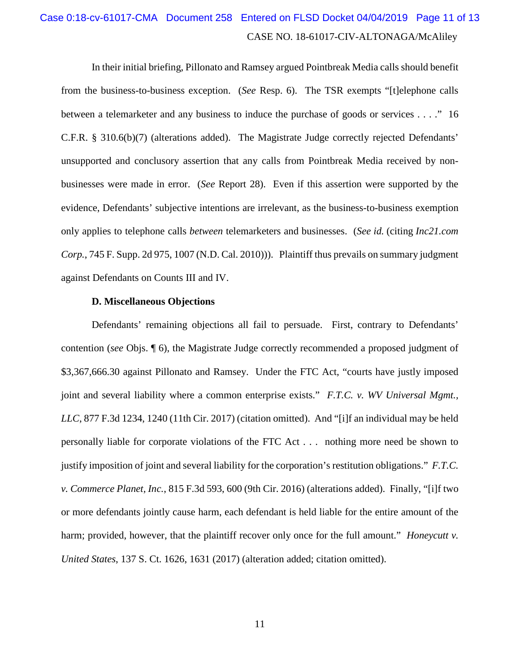# CASE NO. 18-61017-CIV-ALTONAGA/McAliley Case 0:18-cv-61017-CMA Document 258 Entered on FLSD Docket 04/04/2019 Page 11 of 13

In their initial briefing, Pillonato and Ramsey argued Pointbreak Media calls should benefit from the business-to-business exception. (*See* Resp. 6). The TSR exempts "[t]elephone calls between a telemarketer and any business to induce the purchase of goods or services . . . ." 16 C.F.R. § 310.6(b)(7) (alterations added). The Magistrate Judge correctly rejected Defendants' unsupported and conclusory assertion that any calls from Pointbreak Media received by nonbusinesses were made in error. (*See* Report 28). Even if this assertion were supported by the evidence, Defendants' subjective intentions are irrelevant, as the business-to-business exemption only applies to telephone calls *between* telemarketers and businesses. (*See id.* (citing *Inc21.com Corp.*, 745 F. Supp. 2d 975, 1007 (N.D. Cal. 2010))). Plaintiff thus prevails on summary judgment against Defendants on Counts III and IV.

#### **D. Miscellaneous Objections**

Defendants' remaining objections all fail to persuade. First, contrary to Defendants' contention (*see* Objs. ¶ 6), the Magistrate Judge correctly recommended a proposed judgment of \$3,367,666.30 against Pillonato and Ramsey. Under the FTC Act, "courts have justly imposed joint and several liability where a common enterprise exists." *F.T.C. v. WV Universal Mgmt., LLC*, 877 F.3d 1234, 1240 (11th Cir. 2017) (citation omitted). And "[i]f an individual may be held personally liable for corporate violations of the FTC Act . . . nothing more need be shown to justify imposition of joint and several liability for the corporation's restitution obligations." *F.T.C. v. Commerce Planet, Inc.*, 815 F.3d 593, 600 (9th Cir. 2016) (alterations added). Finally, "[i]f two or more defendants jointly cause harm, each defendant is held liable for the entire amount of the harm; provided, however, that the plaintiff recover only once for the full amount." *Honeycutt v. United States*, 137 S. Ct. 1626, 1631 (2017) (alteration added; citation omitted).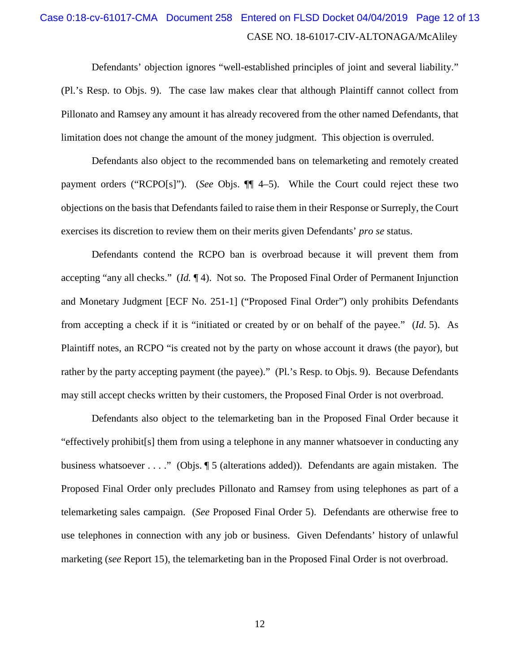## CASE NO. 18-61017-CIV-ALTONAGA/McAliley Case 0:18-cv-61017-CMA Document 258 Entered on FLSD Docket 04/04/2019 Page 12 of 13

Defendants' objection ignores "well-established principles of joint and several liability." (Pl.'s Resp. to Objs. 9). The case law makes clear that although Plaintiff cannot collect from Pillonato and Ramsey any amount it has already recovered from the other named Defendants, that limitation does not change the amount of the money judgment. This objection is overruled.

Defendants also object to the recommended bans on telemarketing and remotely created payment orders ("RCPO[s]"). (*See* Objs. ¶¶ 4–5). While the Court could reject these two objections on the basis that Defendants failed to raise them in their Response or Surreply, the Court exercises its discretion to review them on their merits given Defendants' *pro se* status.

Defendants contend the RCPO ban is overbroad because it will prevent them from accepting "any all checks." (*Id.* ¶ 4). Not so. The Proposed Final Order of Permanent Injunction and Monetary Judgment [ECF No. 251-1] ("Proposed Final Order") only prohibits Defendants from accepting a check if it is "initiated or created by or on behalf of the payee." (*Id.* 5). As Plaintiff notes, an RCPO "is created not by the party on whose account it draws (the payor), but rather by the party accepting payment (the payee)." (Pl.'s Resp. to Objs. 9). Because Defendants may still accept checks written by their customers, the Proposed Final Order is not overbroad.

Defendants also object to the telemarketing ban in the Proposed Final Order because it "effectively prohibit[s] them from using a telephone in any manner whatsoever in conducting any business whatsoever . . . ." (Objs. ¶ 5 (alterations added)). Defendants are again mistaken. The Proposed Final Order only precludes Pillonato and Ramsey from using telephones as part of a telemarketing sales campaign. (*See* Proposed Final Order 5). Defendants are otherwise free to use telephones in connection with any job or business. Given Defendants' history of unlawful marketing (*see* Report 15), the telemarketing ban in the Proposed Final Order is not overbroad.